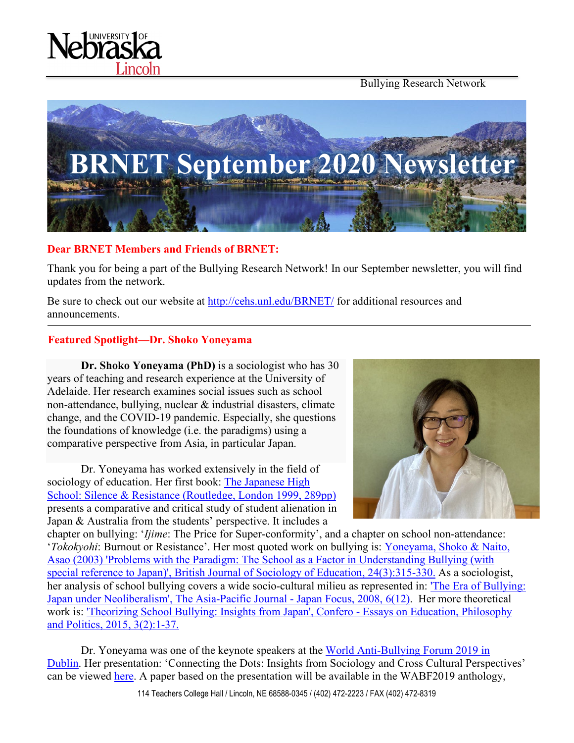Bullying Research Network





#### **Dear BRNET Members and Friends of BRNET:**

Thank you for being a part of the Bullying Research Network! In our September newsletter, you will find updates from the network.

Be sure to check out our website at<http://cehs.unl.edu/BRNET/> for additional resources and announcements.

#### **Featured Spotlight—Dr. Shoko Yoneyama**

**Dr. Shoko Yoneyama (PhD)** is a sociologist who has 30 years of teaching and research experience at the University of Adelaide. Her research examines social issues such as school non-attendance, bullying, nuclear & industrial disasters, climate change, and the COVID-19 pandemic. Especially, she questions the foundations of knowledge (i.e. the paradigms) using a comparative perspective from Asia, in particular Japan.

Dr. Yoneyama has worked extensively in the field of sociology of education. Her first book: [The Japanese High](https://www.routledge.com/The-Japanese-High-School-Silence-and-Resistance-1st-Edition/Yoneyama/p/book/9780415438292)  [School: Silence & Resistance \(Routledge, London 1999, 289pp\)](https://www.routledge.com/The-Japanese-High-School-Silence-and-Resistance-1st-Edition/Yoneyama/p/book/9780415438292) presents a comparative and critical study of student alienation in Japan & Australia from the students' perspective. It includes a



chapter on bullying: '*Ijime*: The Price for Super-conformity', and a chapter on school non-attendance: '*Tokokyohi*: Burnout or Resistance'. Her most quoted work on bullying is: [Yoneyama, Shoko & Naito,](https://www.tandfonline.com/doi/abs/10.1080/01425690301894)  [Asao \(2003\) 'Problems with the Paradigm: The School as a Factor in Understanding Bullying \(with](https://www.tandfonline.com/doi/abs/10.1080/01425690301894)  [special reference to Japan\)', British Journal of Sociology of Education, 24\(3\):315-330.](https://www.tandfonline.com/doi/abs/10.1080/01425690301894) As a sociologist, her analysis of school bullying covers a wide socio-cultural milieu as represented in: ['The Era of Bullying:](file:///%5C%5Cusers%5Cshokoyoneyama%5CDesktop%5CBRNET%5CDr%20Shoko%20Yoneyama%20was%20appointed%20by%20UNESCO%20&%20Government%20of%20France%20as%20one%20of%20the%20four%20members%20of%20International%20Experts%20of%20Scientific%20Committee%20to%20oversee%20the%20scientific%20preparation%20of%20the%20UNESCO%5CGovernment%20of%20France%20conference%20to%20mark%20the%20first%20UN%20International%20Day%20Against%20Violence%20and%20Bullying%20at%20School%20(including%20Cyberbullying).%20%20%20%20Dr%20Shoko%20Yoneyama%20was%20also%20appointed%20as%20a%20member%20of%20the%20official%20Scientific%20Committee%20for%20World%20Anti-Bullying%20Forum%202021%20by%20World%20Anti-Bullying%20Forum%20(organised%20by%20Friends,%20one%20of%20the%20largest%20NGOs%20in%20Sweden%20after%20which%20Friends%20Arena%20was%20named).)  [Japan under Neoliberalism', The Asia-Pacific Journal -](file:///%5C%5Cusers%5Cshokoyoneyama%5CDesktop%5CBRNET%5CDr%20Shoko%20Yoneyama%20was%20appointed%20by%20UNESCO%20&%20Government%20of%20France%20as%20one%20of%20the%20four%20members%20of%20International%20Experts%20of%20Scientific%20Committee%20to%20oversee%20the%20scientific%20preparation%20of%20the%20UNESCO%5CGovernment%20of%20France%20conference%20to%20mark%20the%20first%20UN%20International%20Day%20Against%20Violence%20and%20Bullying%20at%20School%20(including%20Cyberbullying).%20%20%20%20Dr%20Shoko%20Yoneyama%20was%20also%20appointed%20as%20a%20member%20of%20the%20official%20Scientific%20Committee%20for%20World%20Anti-Bullying%20Forum%202021%20by%20World%20Anti-Bullying%20Forum%20(organised%20by%20Friends,%20one%20of%20the%20largest%20NGOs%20in%20Sweden%20after%20which%20Friends%20Arena%20was%20named).) Japan Focus, 2008, 6(12). Her more theoretical work is: 'Theorizing School [Bullying: Insights from Japan', Confero -](https://www.researchgate.net/publication/282833325_Theorizing_School_Bullying_Insights_from_Japan) Essays on Education, Philosophy [and Politics, 2015, 3\(2\):1-37.](https://www.researchgate.net/publication/282833325_Theorizing_School_Bullying_Insights_from_Japan)

Dr. Yoneyama was one of the keynote speakers at the [World Anti-Bullying Forum 2019 in](https://wabf2019.com/)  [Dublin.](https://wabf2019.com/) Her presentation: 'Connecting the Dots: Insights from Sociology and Cross Cultural Perspectives' can be viewed [here.](https://www.youtube.com/watch?v=5wYmiwGhGPs&feature=youtu.be&utm_campaign=maj&utm_content=privat-insamlimg&utm_medium=email&utm_source=apsis-anp-3) A paper based on the presentation will be available in the WABF2019 anthology,

114 Teachers College Hall / Lincoln, NE 68588-0345 / (402) 472-2223 / FAX (402) 472-8319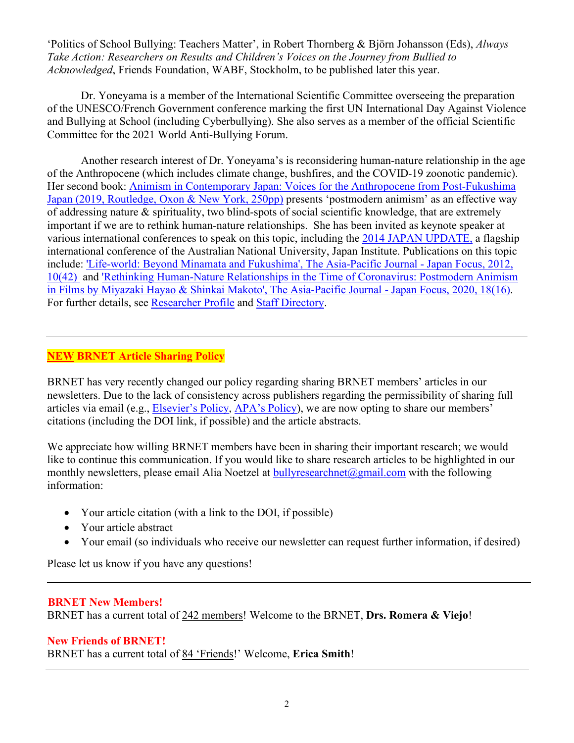'Politics of School Bullying: Teachers Matter', in Robert Thornberg & Björn Johansson (Eds), *Always Take Action: Researchers on Results and Children's Voices on the Journey from Bullied to Acknowledged*, Friends Foundation, WABF, Stockholm, to be published later this year.

Dr. Yoneyama is a member of the International Scientific Committee overseeing the preparation of the UNESCO/French Government conference marking the first UN International Day Against Violence and Bullying at School (including Cyberbullying). She also serves as a member of the official Scientific Committee for the 2021 World Anti-Bullying Forum.

Another research interest of Dr. Yoneyama's is reconsidering human-nature relationship in the age of the Anthropocene (which includes climate change, bushfires, and the COVID-19 zoonotic pandemic). Her second book: Animism [in Contemporary Japan: Voices for the Anthropocene from Post-Fukushima](https://www.taylorfrancis.com/books/9781315393902)  [Japan \(2019, Routledge, Oxon & New York, 250pp\)](https://www.taylorfrancis.com/books/9781315393902) presents 'postmodern animism' as an effective way of addressing nature & spirituality, two blind-spots of social scientific knowledge, that are extremely important if we are to rethink human-nature relationships. She has been invited as keynote speaker at various international conferences to speak on this topic, including the [2014 JAPAN UPDATE,](http://japaninstitute.anu.edu.au/sites/default/files/event-results/Japan%20Update2b_Web.pdf) a flagship international conference of the Australian National University, Japan Institute. Publications on this topic include: ['Life-world: Beyond Minamata and Fukushima', The Asia-Pacific Journal -](https://apjjf.org/2012/10/42/Shoko-YONEYAMA/3845/article.html) Japan Focus, 2012, [10\(42\)](https://apjjf.org/2012/10/42/Shoko-YONEYAMA/3845/article.html) and ['Rethinking Human-Nature Relationships in the Time of Coronavirus: Postmodern Animism](https://apjjf.org/2020/16/Yoneyama.html)  [in Films by Miyazaki Hayao & Shinkai Makoto', The Asia-Pacific Journal -](https://apjjf.org/2020/16/Yoneyama.html) Japan Focus, 2020, 18(16). For further details, see [Researcher Profile](https://researchers.adelaide.edu.au/profile/shoko.yoneyama) and [Staff Directory.](https://www.adelaide.edu.au/directory/shoko.yoneyama)

## **NEW BRNET Article Sharing Policy**

BRNET has very recently changed our policy regarding sharing BRNET members' articles in our newsletters. Due to the lack of consistency across publishers regarding the permissibility of sharing full articles via email (e.g., [Elsevier's Policy,](https://www.elsevier.com/authors/journal-authors/submit-your-paper/sharing-and-promoting-your-article) [APA's Policy\)](https://www.apa.org/about/contact/copyright/), we are now opting to share our members' citations (including the DOI link, if possible) and the article abstracts.

We appreciate how willing BRNET members have been in sharing their important research; we would like to continue this communication. If you would like to share research articles to be highlighted in our monthly newsletters, please email Alia Noetzel at [bullyresearchnet@gmail.com](mailto:bullyresearchnet@gmail.com) with the following information:

- Your article citation (with a link to the DOI, if possible)
- Your article abstract
- Your email (so individuals who receive our newsletter can request further information, if desired)

Please let us know if you have any questions!

#### **BRNET New Members!**

BRNET has a current total of 242 members! Welcome to the BRNET, **Drs. Romera & Viejo**!

#### **New Friends of BRNET!**

BRNET has a current total of 84 'Friends!' Welcome, **Erica Smith**!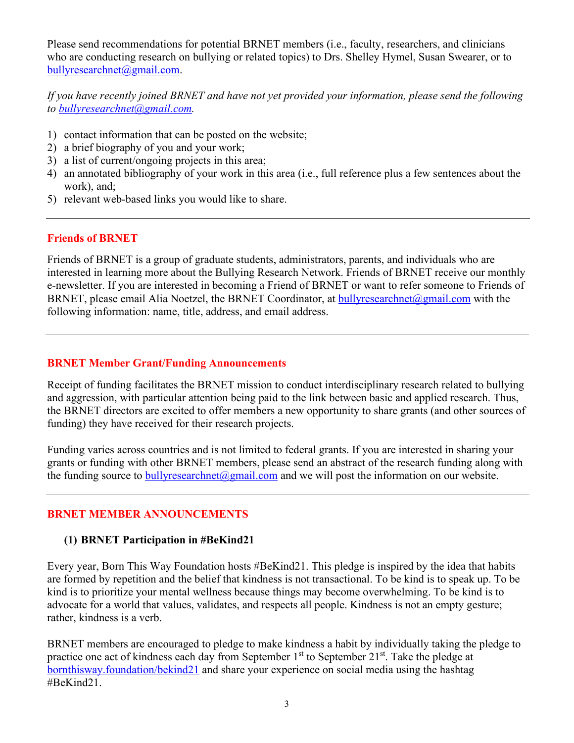Please send recommendations for potential BRNET members (i.e., faculty, researchers, and clinicians who are conducting research on bullying or related topics) to Drs. Shelley Hymel, Susan Swearer, or to [bullyresearchnet@gmail.com.](mailto:bullyresearchnet@gmail.com)

## *If you have recently joined BRNET and have not yet provided your information, please send the following to [bullyresearchnet@gmail.com.](mailto:bullyresearchnet@gmail.com)*

- 1) contact information that can be posted on the website;
- 2) a brief biography of you and your work;
- 3) a list of current/ongoing projects in this area;
- 4) an annotated bibliography of your work in this area (i.e., full reference plus a few sentences about the work), and;
- 5) relevant web-based links you would like to share.

#### **Friends of BRNET**

Friends of BRNET is a group of graduate students, administrators, parents, and individuals who are interested in learning more about the Bullying Research Network. Friends of BRNET receive our monthly e-newsletter. If you are interested in becoming a Friend of BRNET or want to refer someone to Friends of BRNET, please email Alia Noetzel, the BRNET Coordinator, at [bullyresearchnet@gmail.com](mailto:bullyresearchnet@gmail.com) with the following information: name, title, address, and email address.

#### **BRNET Member Grant/Funding Announcements**

Receipt of funding facilitates the BRNET mission to conduct interdisciplinary research related to bullying and aggression, with particular attention being paid to the link between basic and applied research. Thus, the BRNET directors are excited to offer members a new opportunity to share grants (and other sources of funding) they have received for their research projects.

Funding varies across countries and is not limited to federal grants. If you are interested in sharing your grants or funding with other BRNET members, please send an abstract of the research funding along with the funding source to bully research net  $\omega$  gmail.com and we will post the information on our website.

#### **BRNET MEMBER ANNOUNCEMENTS**

#### **(1) BRNET Participation in #BeKind21**

Every year, Born This Way Foundation hosts #BeKind21. This pledge is inspired by the idea that habits are formed by repetition and the belief that kindness is not transactional. To be kind is to speak up. To be kind is to prioritize your mental wellness because things may become overwhelming. To be kind is to advocate for a world that values, validates, and respects all people. Kindness is not an empty gesture; rather, kindness is a verb.

BRNET members are encouraged to pledge to make kindness a habit by individually taking the pledge to practice one act of kindness each day from September  $1<sup>st</sup>$  to September  $21<sup>st</sup>$ . Take the pledge at bornthisway.foundation/bekind21 and share your experience on social media using the hashtag #BeKind21.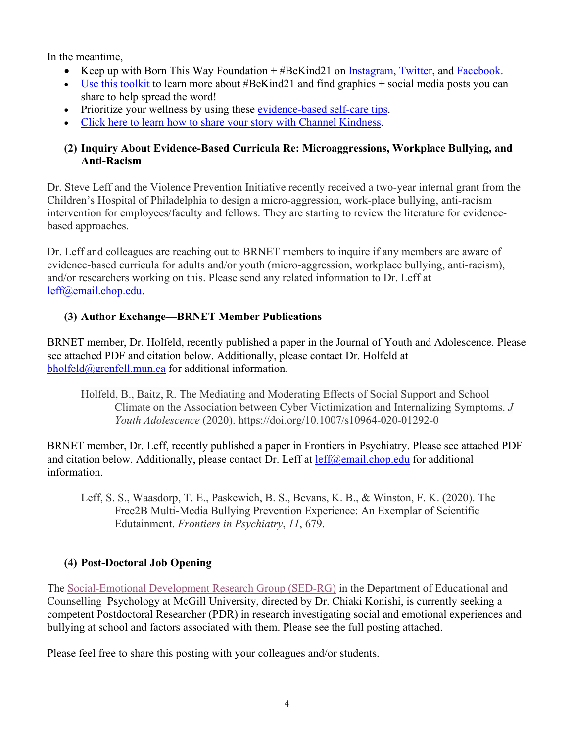In the meantime,

- Keep up with Born This Way Foundation + #BeKind21 on [Instagram,](https://urldefense.proofpoint.com/v2/url?u=http-3A__instagram.com_btwfoundation_&d=DwMCaQ&c=Cu5g146wZdoqVuKpTNsYHeFX_rg6kWhlkLF8Eft-wwo&r=pI0lFozHaxmMWrG4uSj7Ng&m=RMQmIf_cmbY8Qe5mS0ixICY6izh6AugPuCDjt84dvNk&s=fGZt3iCQyQUInKgsshsNfZtmY_ldBzQJLb_YejC13q8&e=) [Twitter,](https://urldefense.proofpoint.com/v2/url?u=http-3A__twitter.com_btwfoundation&d=DwMCaQ&c=Cu5g146wZdoqVuKpTNsYHeFX_rg6kWhlkLF8Eft-wwo&r=pI0lFozHaxmMWrG4uSj7Ng&m=RMQmIf_cmbY8Qe5mS0ixICY6izh6AugPuCDjt84dvNk&s=9Z8ob1MAIRDcZPGeGqarVaaQ_lb6EKs7hnS3H46uoPE&e=) and [Facebook.](https://urldefense.proofpoint.com/v2/url?u=http-3A__facebook.com_bornthiswayfoundation_&d=DwMCaQ&c=Cu5g146wZdoqVuKpTNsYHeFX_rg6kWhlkLF8Eft-wwo&r=pI0lFozHaxmMWrG4uSj7Ng&m=RMQmIf_cmbY8Qe5mS0ixICY6izh6AugPuCDjt84dvNk&s=zxVuScs-uDdtqRQbOtfRnAOp8pJYFqQKz8CIGQQHxzQ&e=)
- Use this [toolkit](https://urldefense.proofpoint.com/v2/url?u=https-3A__docs.google.com_presentation_d_1WsPyUsWQsKQF2eJdVtUsMBsZOwDYAZ0l7GURAG1o11M_edit-3Fusp-3Dsharing&d=DwMCaQ&c=Cu5g146wZdoqVuKpTNsYHeFX_rg6kWhlkLF8Eft-wwo&r=pI0lFozHaxmMWrG4uSj7Ng&m=RMQmIf_cmbY8Qe5mS0ixICY6izh6AugPuCDjt84dvNk&s=8VRY-VUTK99y1F6UjCyEzzqztnw0OhzSBOA-4hof0E8&e=) to learn more about #BeKind21 and find graphics + social media posts you can share to help spread the word!
- Prioritize your wellness by using these [evidence-based](https://urldefense.proofpoint.com/v2/url?u=https-3A__bornthisway.foundation_self-2Dcare-2Dtips_&d=DwMCaQ&c=Cu5g146wZdoqVuKpTNsYHeFX_rg6kWhlkLF8Eft-wwo&r=pI0lFozHaxmMWrG4uSj7Ng&m=RMQmIf_cmbY8Qe5mS0ixICY6izh6AugPuCDjt84dvNk&s=te0PyAqhut7-Nqqe13LqcKQMm59GCVohG6HrmsDFfvY&e=) self-care tips.
- Click here to learn how to share your story with Channel [Kindness.](https://urldefense.proofpoint.com/v2/url?u=https-3A__www.channelkindness.org_calling-2Dall-2Dstorytellers_&d=DwMCaQ&c=Cu5g146wZdoqVuKpTNsYHeFX_rg6kWhlkLF8Eft-wwo&r=pI0lFozHaxmMWrG4uSj7Ng&m=RMQmIf_cmbY8Qe5mS0ixICY6izh6AugPuCDjt84dvNk&s=jtHDQwNgktbzDLTfxJWOUl5hXn4ys9o0jC0flDS-aPY&e=)

# **(2) Inquiry About Evidence-Based Curricula Re: Microaggressions, Workplace Bullying, and Anti-Racism**

Dr. Steve Leff and the Violence Prevention Initiative recently received a two-year internal grant from the Children's Hospital of Philadelphia to design a micro-aggression, work-place bullying, anti-racism intervention for employees/faculty and fellows. They are starting to review the literature for evidencebased approaches.

Dr. Leff and colleagues are reaching out to BRNET members to inquire if any members are aware of evidence-based curricula for adults and/or youth (micro-aggression, workplace bullying, anti-racism), and/or researchers working on this. Please send any related information to Dr. Leff at [leff@email.chop.edu.](mailto:leff@email.chop.edu)

# **(3) Author Exchange—BRNET Member Publications**

BRNET member, Dr. Holfeld, recently published a paper in the Journal of Youth and Adolescence. Please see attached PDF and citation below. Additionally, please contact Dr. Holfeld at [bholfeld@grenfell.mun.ca](mailto:bholfeld@grenfell.mun.ca) for additional information.

Holfeld, B., Baitz, R. The Mediating and Moderating Effects of Social Support and School Climate on the Association between Cyber Victimization and Internalizing Symptoms. *J Youth Adolescence* (2020). https://doi.org/10.1007/s10964-020-01292-0

BRNET member, Dr. Leff, recently published a paper in Frontiers in Psychiatry. Please see attached PDF and citation below. Additionally, please contact Dr. Leff at  $\text{left}(\partial \text{email}.\text{chop.edu}$  for additional information.

Leff, S. S., Waasdorp, T. E., Paskewich, B. S., Bevans, K. B., & Winston, F. K. (2020). The Free2B Multi-Media Bullying Prevention Experience: An Exemplar of Scientific Edutainment. *Frontiers in Psychiatry*, *11*, 679.

# **(4) Post-Doctoral Job Opening**

The [Social-Emotional Development Research Group \(SED-RG\)](http://sedrg.ca/) in the Department of Educational and Counselling Psychology at McGill University, directed by Dr. Chiaki Konishi, is currently seeking a competent Postdoctoral Researcher (PDR) in research investigating social and emotional experiences and bullying at school and factors associated with them. Please see the full posting attached.

Please feel free to share this posting with your colleagues and/or students.